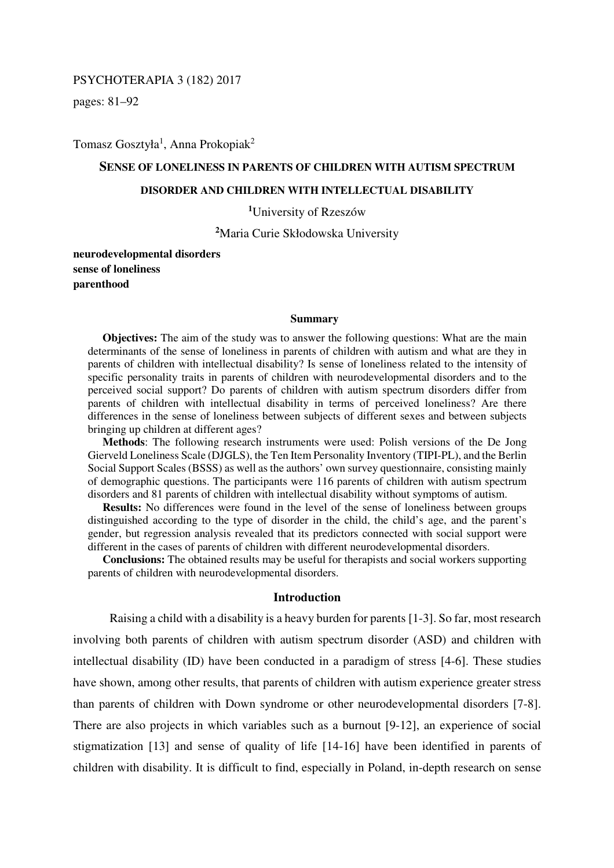### PSYCHOTERAPIA 3 (182) 2017

pages: 81–92

Tomasz Gosztyła<sup>1</sup>, Anna Prokopiak<sup>2</sup>

### **SENSE OF LONELINESS IN PARENTS OF CHILDREN WITH AUTISM SPECTRUM**

### **DISORDER AND CHILDREN WITH INTELLECTUAL DISABILITY**

**<sup>1</sup>**University of Rzeszów

**<sup>2</sup>**Maria Curie Skłodowska University

**neurodevelopmental disorders sense of loneliness parenthood** 

#### **Summary**

**Objectives:** The aim of the study was to answer the following questions: What are the main determinants of the sense of loneliness in parents of children with autism and what are they in parents of children with intellectual disability? Is sense of loneliness related to the intensity of specific personality traits in parents of children with neurodevelopmental disorders and to the perceived social support? Do parents of children with autism spectrum disorders differ from parents of children with intellectual disability in terms of perceived loneliness? Are there differences in the sense of loneliness between subjects of different sexes and between subjects bringing up children at different ages?

**Methods**: The following research instruments were used: Polish versions of the De Jong Gierveld Loneliness Scale (DJGLS), the Ten Item Personality Inventory (TIPI-PL), and the Berlin Social Support Scales (BSSS) as well as the authors' own survey questionnaire, consisting mainly of demographic questions. The participants were 116 parents of children with autism spectrum disorders and 81 parents of children with intellectual disability without symptoms of autism.

**Results:** No differences were found in the level of the sense of loneliness between groups distinguished according to the type of disorder in the child, the child's age, and the parent's gender, but regression analysis revealed that its predictors connected with social support were different in the cases of parents of children with different neurodevelopmental disorders.

**Conclusions:** The obtained results may be useful for therapists and social workers supporting parents of children with neurodevelopmental disorders.

#### **Introduction**

Raising a child with a disability is a heavy burden for parents [1-3]. So far, most research involving both parents of children with autism spectrum disorder (ASD) and children with intellectual disability (ID) have been conducted in a paradigm of stress [4-6]. These studies have shown, among other results, that parents of children with autism experience greater stress than parents of children with Down syndrome or other neurodevelopmental disorders [7-8]. There are also projects in which variables such as a burnout [9-12], an experience of social stigmatization [13] and sense of quality of life [14-16] have been identified in parents of children with disability. It is difficult to find, especially in Poland, in-depth research on sense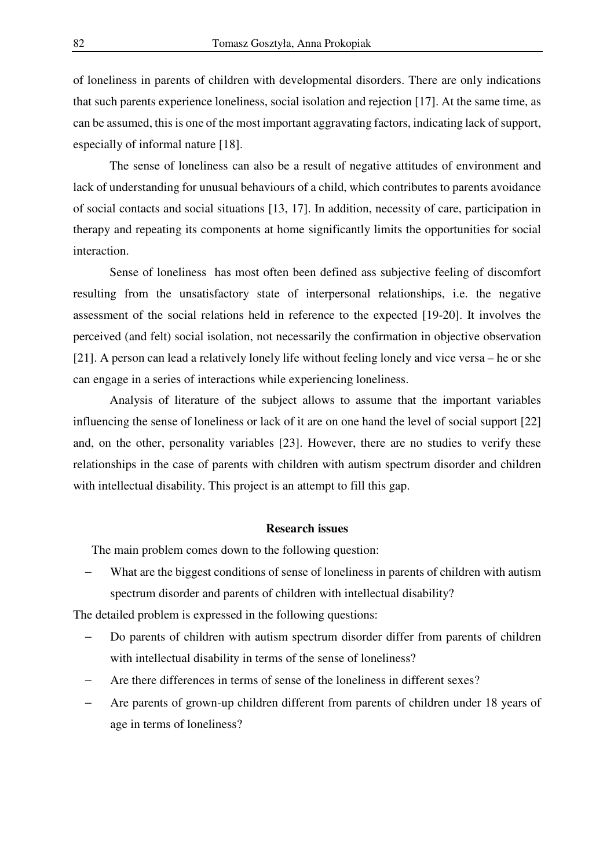of loneliness in parents of children with developmental disorders. There are only indications that such parents experience loneliness, social isolation and rejection [17]. At the same time, as can be assumed, this is one of the most important aggravating factors, indicating lack of support, especially of informal nature [18].

The sense of loneliness can also be a result of negative attitudes of environment and lack of understanding for unusual behaviours of a child, which contributes to parents avoidance of social contacts and social situations [13, 17]. In addition, necessity of care, participation in therapy and repeating its components at home significantly limits the opportunities for social interaction.

Sense of loneliness has most often been defined ass subjective feeling of discomfort resulting from the unsatisfactory state of interpersonal relationships, i.e. the negative assessment of the social relations held in reference to the expected [19-20]. It involves the perceived (and felt) social isolation, not necessarily the confirmation in objective observation [21]. A person can lead a relatively lonely life without feeling lonely and vice versa – he or she can engage in a series of interactions while experiencing loneliness.

Analysis of literature of the subject allows to assume that the important variables influencing the sense of loneliness or lack of it are on one hand the level of social support [22] and, on the other, personality variables [23]. However, there are no studies to verify these relationships in the case of parents with children with autism spectrum disorder and children with intellectual disability. This project is an attempt to fill this gap.

### **Research issues**

The main problem comes down to the following question:

What are the biggest conditions of sense of loneliness in parents of children with autism spectrum disorder and parents of children with intellectual disability?

The detailed problem is expressed in the following questions:

- Do parents of children with autism spectrum disorder differ from parents of children with intellectual disability in terms of the sense of loneliness?
- Are there differences in terms of sense of the loneliness in different sexes?
- Are parents of grown-up children different from parents of children under 18 years of age in terms of loneliness?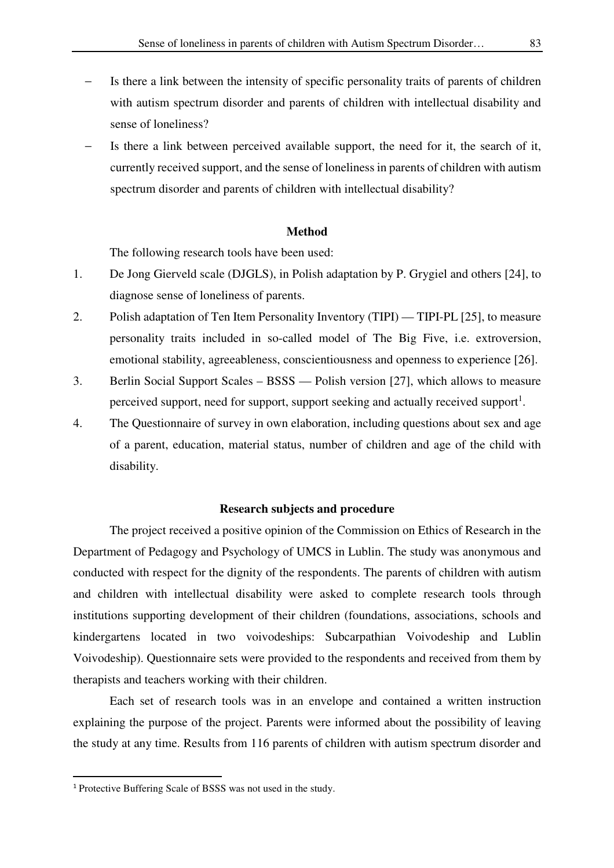- Is there a link between the intensity of specific personality traits of parents of children with autism spectrum disorder and parents of children with intellectual disability and sense of loneliness?
- Is there a link between perceived available support, the need for it, the search of it, currently received support, and the sense of loneliness in parents of children with autism spectrum disorder and parents of children with intellectual disability?

#### **Method**

The following research tools have been used:

- 1. De Jong Gierveld scale (DJGLS), in Polish adaptation by P. Grygiel and others [24], to diagnose sense of loneliness of parents.
- 2. Polish adaptation of Ten Item Personality Inventory (TIPI) TIPI-PL [25], to measure personality traits included in so-called model of The Big Five, i.e. extroversion, emotional stability, agreeableness, conscientiousness and openness to experience [26].
- 3. Berlin Social Support Scales BSSS Polish version [27], which allows to measure perceived support, need for support, support seeking and actually received support<sup>1</sup>.
- 4. The Questionnaire of survey in own elaboration, including questions about sex and age of a parent, education, material status, number of children and age of the child with disability.

### **Research subjects and procedure**

The project received a positive opinion of the Commission on Ethics of Research in the Department of Pedagogy and Psychology of UMCS in Lublin. The study was anonymous and conducted with respect for the dignity of the respondents. The parents of children with autism and children with intellectual disability were asked to complete research tools through institutions supporting development of their children (foundations, associations, schools and kindergartens located in two voivodeships: Subcarpathian Voivodeship and Lublin Voivodeship). Questionnaire sets were provided to the respondents and received from them by therapists and teachers working with their children.

Each set of research tools was in an envelope and contained a written instruction explaining the purpose of the project. Parents were informed about the possibility of leaving the study at any time. Results from 116 parents of children with autism spectrum disorder and

l

<sup>1</sup> Protective Buffering Scale of BSSS was not used in the study.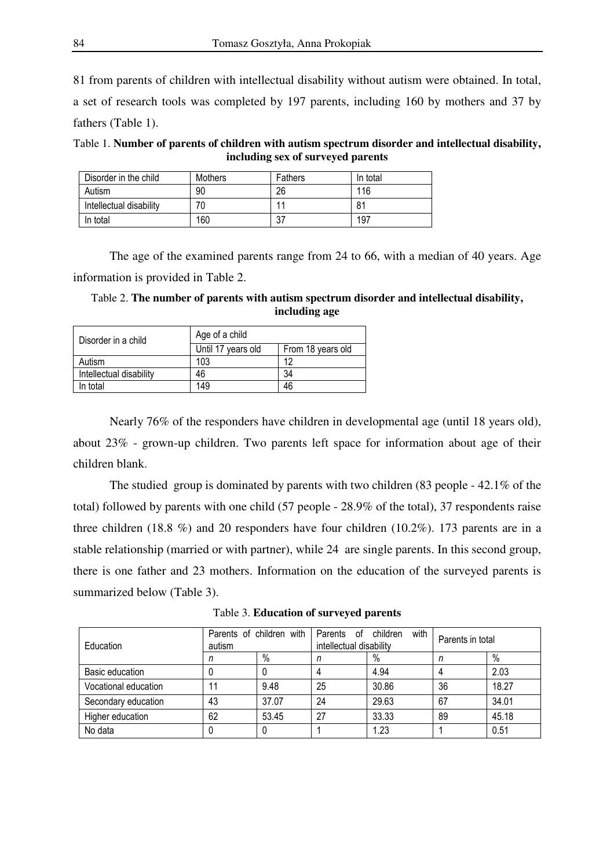81 from parents of children with intellectual disability without autism were obtained. In total, a set of research tools was completed by 197 parents, including 160 by mothers and 37 by fathers (Table 1).

Table 1. **Number of parents of children with autism spectrum disorder and intellectual disability, including sex of surveyed parents** 

| Disorder in the child   | Mothers | Fathers | In total |
|-------------------------|---------|---------|----------|
| Autism                  | 90      | 26      | 116      |
| Intellectual disability | 70      | 11      | 81       |
| In total                | 160     | 37      | 197      |

The age of the examined parents range from 24 to 66, with a median of 40 years. Age information is provided in Table 2.

Table 2. **The number of parents with autism spectrum disorder and intellectual disability, including age** 

| Disorder in a child     | Age of a child                          |    |  |  |
|-------------------------|-----------------------------------------|----|--|--|
|                         | Until 17 years old<br>From 18 years old |    |  |  |
| Autism                  | 103                                     | 12 |  |  |
| Intellectual disability | 46                                      | 34 |  |  |
| In total                | 149                                     | 46 |  |  |

Nearly 76% of the responders have children in developmental age (until 18 years old), about 23% - grown-up children. Two parents left space for information about age of their children blank.

The studied group is dominated by parents with two children (83 people - 42.1% of the total) followed by parents with one child (57 people - 28.9% of the total), 37 respondents raise three children (18.8 %) and 20 responders have four children (10.2%). 173 parents are in a stable relationship (married or with partner), while 24 are single parents. In this second group, there is one father and 23 mothers. Information on the education of the surveyed parents is summarized below (Table 3).

Table 3. **Education of surveyed parents**

| Education            | Parents of children with<br>autism |       | with<br>Parents of children<br>intellectual disability |       | Parents in total |       |
|----------------------|------------------------------------|-------|--------------------------------------------------------|-------|------------------|-------|
|                      |                                    | $\%$  |                                                        | %     | n                | $\%$  |
| Basic education      | U                                  | 0     |                                                        | 4.94  |                  | 2.03  |
| Vocational education |                                    | 9.48  | 25                                                     | 30.86 | 36               | 18.27 |
| Secondary education  | 43                                 | 37.07 | 24                                                     | 29.63 | 67               | 34.01 |
| Higher education     | 62                                 | 53.45 | 27                                                     | 33.33 | 89               | 45.18 |
| No data              |                                    |       |                                                        | 1.23  |                  | 0.51  |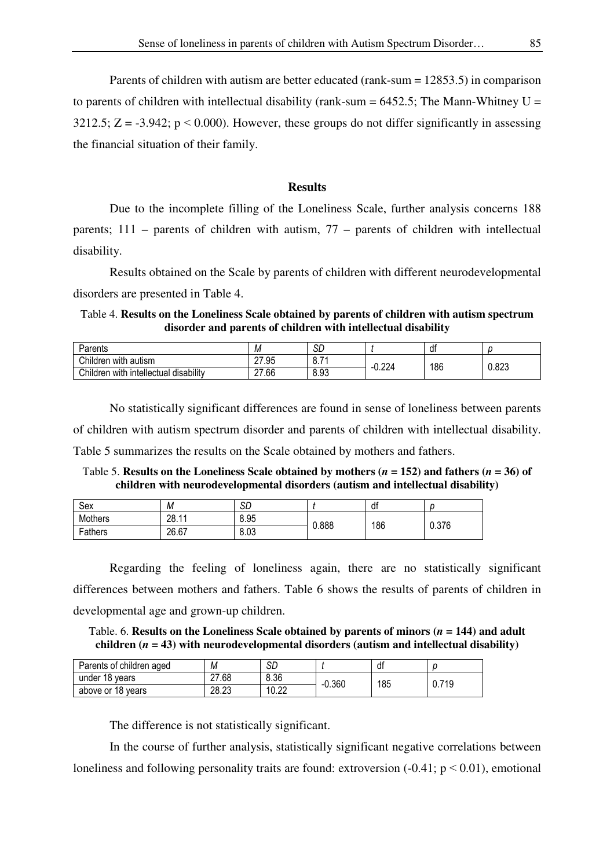Parents of children with autism are better educated (rank-sum = 12853.5) in comparison to parents of children with intellectual disability (rank-sum  $= 6452.5$ ; The Mann-Whitney U = 3212.5;  $Z = -3.942$ ;  $p \le 0.000$ ). However, these groups do not differ significantly in assessing the financial situation of their family.

# **Results**

Due to the incomplete filling of the Loneliness Scale, further analysis concerns 188 parents; 111 – parents of children with autism, 77 – parents of children with intellectual disability.

Results obtained on the Scale by parents of children with different neurodevelopmental disorders are presented in Table 4.

Table 4. **Results on the Loneliness Scale obtained by parents of children with autism spectrum disorder and parents of children with intellectual disability** 

| Parents                                       | IИ    | сn<br>ىر                   |       | di  |       |
|-----------------------------------------------|-------|----------------------------|-------|-----|-------|
| Children with<br>∶autısm                      | 27.95 | $\overline{ }$<br>ъ.<br>◡. | ۔ 224 | 186 | 0.823 |
| Children with<br>disability<br>i intellectual | 27.66 | 8.93                       |       |     |       |

No statistically significant differences are found in sense of loneliness between parents of children with autism spectrum disorder and parents of children with intellectual disability. Table 5 summarizes the results on the Scale obtained by mothers and fathers.

Table 5. **Results on the Loneliness Scale obtained by mothers (** $n = 152$ **) and fathers (** $n = 36$ **) of children with neurodevelopmental disorders (autism and intellectual disability)** 

| Sex     | М     | SD   |       | df  |       |
|---------|-------|------|-------|-----|-------|
| Mothers | 28.11 | 8.95 | 0.888 | 186 | 0.376 |
| Fathers | 26.67 | 8.03 |       |     |       |

Regarding the feeling of loneliness again, there are no statistically significant differences between mothers and fathers. Table 6 shows the results of parents of children in developmental age and grown-up children.

Table. 6. **Results on the Loneliness Scale obtained by parents of minors**  $(n = 144)$  **and adult children (***n* **= 43) with neurodevelopmental disorders (autism and intellectual disability)** 

| Parents of children aged | М     | SD            |          | df  |      |
|--------------------------|-------|---------------|----------|-----|------|
| under 18 years           | 27.68 | 8.36          | $-0.360$ | 185 | .719 |
| above or 18 years        | 28.23 | 10.OQ<br>v.zz |          |     | υ.7  |

The difference is not statistically significant.

In the course of further analysis, statistically significant negative correlations between loneliness and following personality traits are found: extroversion  $(-0.41; p \le 0.01)$ , emotional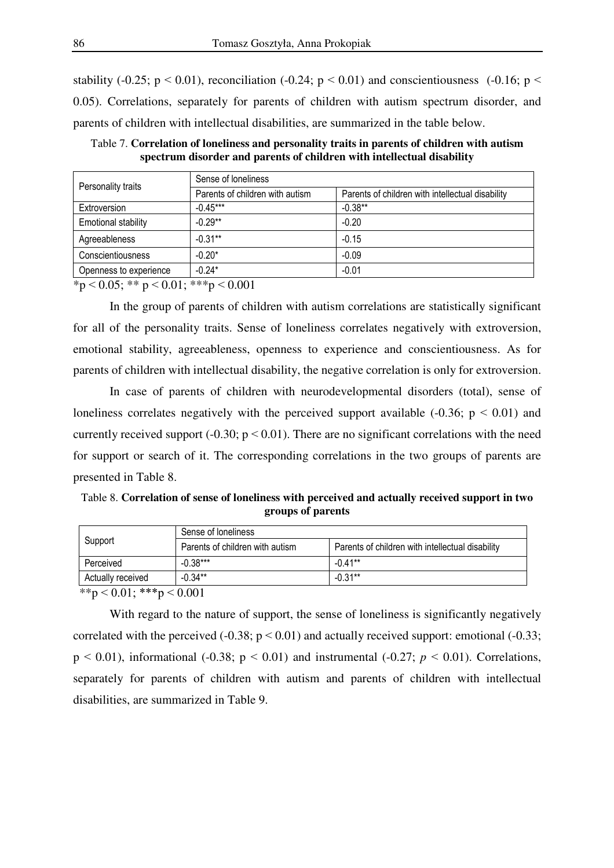stability (-0.25;  $p < 0.01$ ), reconciliation (-0.24;  $p < 0.01$ ) and conscientiousness (-0.16;  $p <$ 0.05). Correlations, separately for parents of children with autism spectrum disorder, and parents of children with intellectual disabilities, are summarized in the table below.

| Personality traits         | Sense of loneliness             |                                                  |  |  |  |
|----------------------------|---------------------------------|--------------------------------------------------|--|--|--|
|                            | Parents of children with autism | Parents of children with intellectual disability |  |  |  |
| Extroversion               | $-0.45***$                      | $-0.38***$                                       |  |  |  |
| <b>Emotional stability</b> | $-0.29**$                       | $-0.20$                                          |  |  |  |
| Agreeableness              | $-0.31**$                       | $-0.15$                                          |  |  |  |
| Conscientiousness          | $-0.20*$                        | $-0.09$                                          |  |  |  |
| Openness to experience     | $-0.24*$                        | $-0.01$                                          |  |  |  |

Table 7. **Correlation of loneliness and personality traits in parents of children with autism spectrum disorder and parents of children with intellectual disability**

 $*p < 0.05; ** p < 0.01; **p < 0.001$ 

In the group of parents of children with autism correlations are statistically significant for all of the personality traits. Sense of loneliness correlates negatively with extroversion, emotional stability, agreeableness, openness to experience and conscientiousness. As for parents of children with intellectual disability, the negative correlation is only for extroversion.

In case of parents of children with neurodevelopmental disorders (total), sense of loneliness correlates negatively with the perceived support available  $(-0.36; p \le 0.01)$  and currently received support  $(-0.30; p \le 0.01)$ . There are no significant correlations with the need for support or search of it. The corresponding correlations in the two groups of parents are presented in Table 8.

Table 8. **Correlation of sense of loneliness with perceived and actually received support in two groups of parents** 

|                   | Sense of loneliness                |                                                  |  |  |  |
|-------------------|------------------------------------|--------------------------------------------------|--|--|--|
| Support           | Parents of children with autism    | Parents of children with intellectual disability |  |  |  |
| Perceived         | $-0.38***$                         | $-0.41**$                                        |  |  |  |
| Actually received | $-0.34**$                          | $-0.31**$                                        |  |  |  |
|                   | $\sim$ $\sim$ $\sim$ $\sim$ $\sim$ |                                                  |  |  |  |

 $**p < 0.01$ ;  $***p < 0.001$ 

With regard to the nature of support, the sense of loneliness is significantly negatively correlated with the perceived  $(-0.38; p < 0.01)$  and actually received support: emotional  $(-0.33;$  $p \le 0.01$ ), informational (-0.38;  $p \le 0.01$ ) and instrumental (-0.27;  $p \le 0.01$ ). Correlations, separately for parents of children with autism and parents of children with intellectual disabilities, are summarized in Table 9.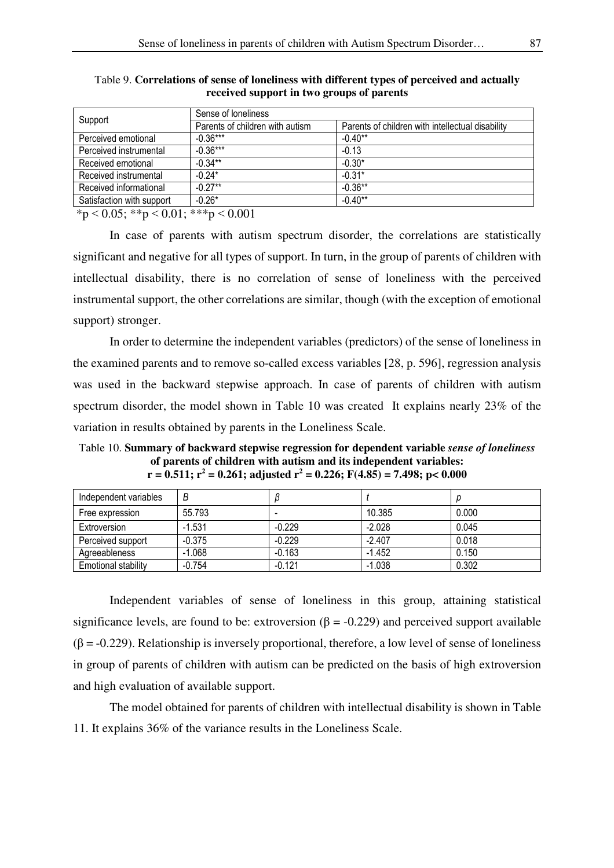| Sense of loneliness             |                                                  |  |  |
|---------------------------------|--------------------------------------------------|--|--|
| Parents of children with autism | Parents of children with intellectual disability |  |  |
| $-0.36***$                      | $-0.40**$                                        |  |  |
| $-0.36***$                      | $-0.13$                                          |  |  |
| $-0.34***$                      | $-0.30*$                                         |  |  |
| $-0.24*$                        | $-0.31*$                                         |  |  |
| $-0.27**$                       | $-0.36**$                                        |  |  |
| $-0.26*$                        | $-0.40**$                                        |  |  |
|                                 |                                                  |  |  |

Table 9. **Correlations of sense of loneliness with different types of perceived and actually received support in two groups of parents** 

 $*p < 0.05$ ;  $* p < 0.01$ ;  $* * p < 0.001$ 

In case of parents with autism spectrum disorder, the correlations are statistically significant and negative for all types of support. In turn, in the group of parents of children with intellectual disability, there is no correlation of sense of loneliness with the perceived instrumental support, the other correlations are similar, though (with the exception of emotional support) stronger.

In order to determine the independent variables (predictors) of the sense of loneliness in the examined parents and to remove so-called excess variables [28, p. 596], regression analysis was used in the backward stepwise approach. In case of parents of children with autism spectrum disorder, the model shown in Table 10 was created It explains nearly 23% of the variation in results obtained by parents in the Loneliness Scale.

Table 10. **Summary of backward stepwise regression for dependent variable** *sense of loneliness* **of parents of children with autism and its independent variables: r = 0.511; r<sup>2</sup> = 0.261; adjusted r<sup>2</sup> = 0.226; F(4.85) = 7.498; p< 0.000** 

| Independent variables      | В        |          |          |       |
|----------------------------|----------|----------|----------|-------|
| Free expression            | 55.793   | -        | 10.385   | 0.000 |
| Extroversion               | $-1.531$ | $-0.229$ | $-2.028$ | 0.045 |
| Perceived support          | $-0.375$ | $-0.229$ | $-2.407$ | 0.018 |
| Agreeableness              | $-1.068$ | $-0.163$ | $-1.452$ | 0.150 |
| <b>Emotional stability</b> | $-0.754$ | $-0.121$ | $-1.038$ | 0.302 |

Independent variables of sense of loneliness in this group, attaining statistical significance levels, are found to be: extroversion  $(\beta = -0.229)$  and perceived support available  $(\beta = -0.229)$ . Relationship is inversely proportional, therefore, a low level of sense of loneliness in group of parents of children with autism can be predicted on the basis of high extroversion and high evaluation of available support.

The model obtained for parents of children with intellectual disability is shown in Table 11. It explains 36% of the variance results in the Loneliness Scale.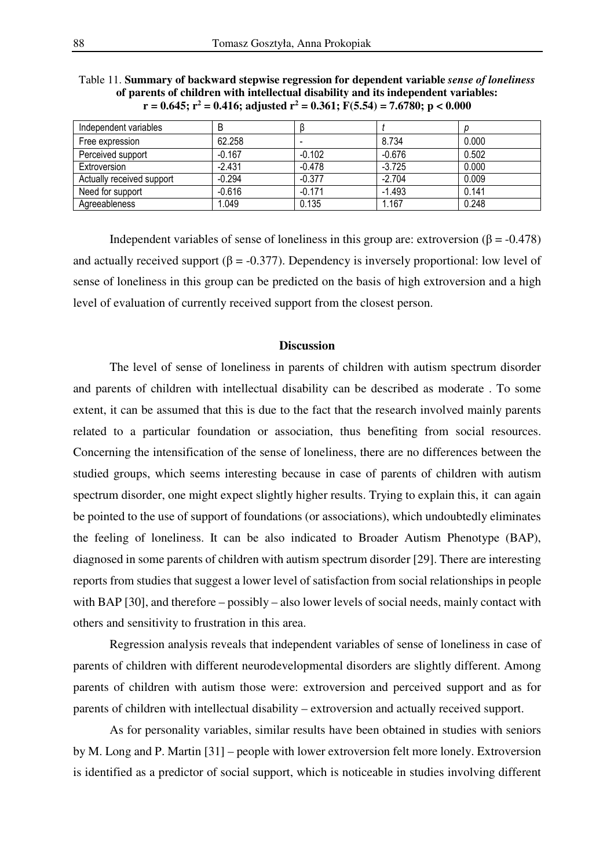| Independent variables     | B        |                          |          |       |
|---------------------------|----------|--------------------------|----------|-------|
| Free expression           | 62.258   | $\overline{\phantom{a}}$ | 8.734    | 0.000 |
| Perceived support         | $-0.167$ | $-0.102$                 | $-0.676$ | 0.502 |
| Extroversion              | $-2.431$ | $-0.478$                 | $-3.725$ | 0.000 |
| Actually received support | $-0.294$ | $-0.377$                 | $-2.704$ | 0.009 |
| Need for support          | $-0.616$ | $-0.171$                 | $-1.493$ | 0.141 |
| Agreeableness             | 1.049    | 0.135                    | 1.167    | 0.248 |

Table 11. **Summary of backward stepwise regression for dependent variable** *sense of loneliness* **of parents of children with intellectual disability and its independent variables: r = 0.645; r<sup>2</sup> = 0.416; adjusted r<sup>2</sup> = 0.361; F(5.54) = 7.6780; p < 0.000**

Independent variables of sense of loneliness in this group are: extroversion ( $\beta$  = -0.478) and actually received support ( $\beta$  = -0.377). Dependency is inversely proportional: low level of sense of loneliness in this group can be predicted on the basis of high extroversion and a high level of evaluation of currently received support from the closest person.

## **Discussion**

The level of sense of loneliness in parents of children with autism spectrum disorder and parents of children with intellectual disability can be described as moderate . To some extent, it can be assumed that this is due to the fact that the research involved mainly parents related to a particular foundation or association, thus benefiting from social resources. Concerning the intensification of the sense of loneliness, there are no differences between the studied groups, which seems interesting because in case of parents of children with autism spectrum disorder, one might expect slightly higher results. Trying to explain this, it can again be pointed to the use of support of foundations (or associations), which undoubtedly eliminates the feeling of loneliness. It can be also indicated to Broader Autism Phenotype (BAP), diagnosed in some parents of children with autism spectrum disorder [29]. There are interesting reports from studies that suggest a lower level of satisfaction from social relationships in people with BAP [30], and therefore – possibly – also lower levels of social needs, mainly contact with others and sensitivity to frustration in this area.

Regression analysis reveals that independent variables of sense of loneliness in case of parents of children with different neurodevelopmental disorders are slightly different. Among parents of children with autism those were: extroversion and perceived support and as for parents of children with intellectual disability – extroversion and actually received support.

As for personality variables, similar results have been obtained in studies with seniors by M. Long and P. Martin [31] – people with lower extroversion felt more lonely. Extroversion is identified as a predictor of social support, which is noticeable in studies involving different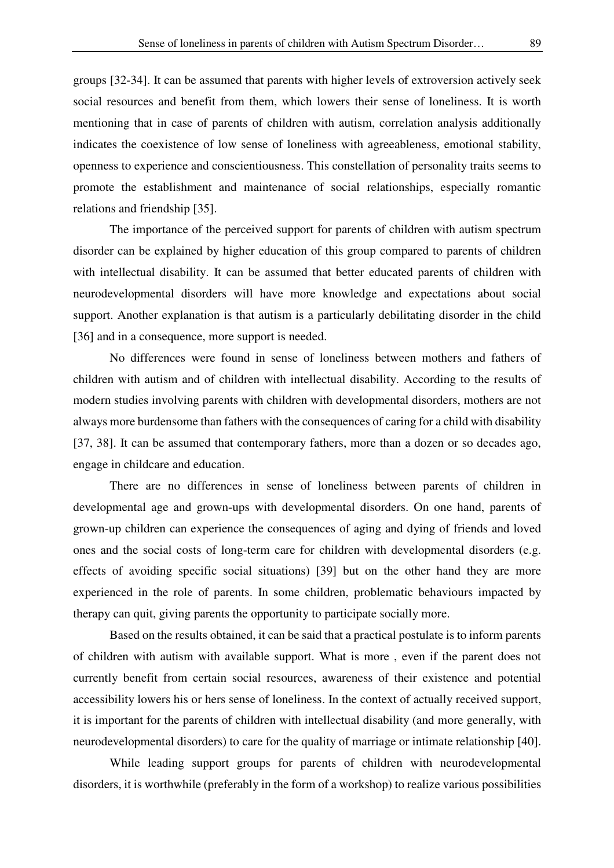groups [32-34]. It can be assumed that parents with higher levels of extroversion actively seek social resources and benefit from them, which lowers their sense of loneliness. It is worth mentioning that in case of parents of children with autism, correlation analysis additionally indicates the coexistence of low sense of loneliness with agreeableness, emotional stability, openness to experience and conscientiousness. This constellation of personality traits seems to promote the establishment and maintenance of social relationships, especially romantic relations and friendship [35].

The importance of the perceived support for parents of children with autism spectrum disorder can be explained by higher education of this group compared to parents of children with intellectual disability. It can be assumed that better educated parents of children with neurodevelopmental disorders will have more knowledge and expectations about social support. Another explanation is that autism is a particularly debilitating disorder in the child [36] and in a consequence, more support is needed.

No differences were found in sense of loneliness between mothers and fathers of children with autism and of children with intellectual disability. According to the results of modern studies involving parents with children with developmental disorders, mothers are not always more burdensome than fathers with the consequences of caring for a child with disability [37, 38]. It can be assumed that contemporary fathers, more than a dozen or so decades ago, engage in childcare and education.

There are no differences in sense of loneliness between parents of children in developmental age and grown-ups with developmental disorders. On one hand, parents of grown-up children can experience the consequences of aging and dying of friends and loved ones and the social costs of long-term care for children with developmental disorders (e.g. effects of avoiding specific social situations) [39] but on the other hand they are more experienced in the role of parents. In some children, problematic behaviours impacted by therapy can quit, giving parents the opportunity to participate socially more.

Based on the results obtained, it can be said that a practical postulate is to inform parents of children with autism with available support. What is more , even if the parent does not currently benefit from certain social resources, awareness of their existence and potential accessibility lowers his or hers sense of loneliness. In the context of actually received support, it is important for the parents of children with intellectual disability (and more generally, with neurodevelopmental disorders) to care for the quality of marriage or intimate relationship [40].

While leading support groups for parents of children with neurodevelopmental disorders, it is worthwhile (preferably in the form of a workshop) to realize various possibilities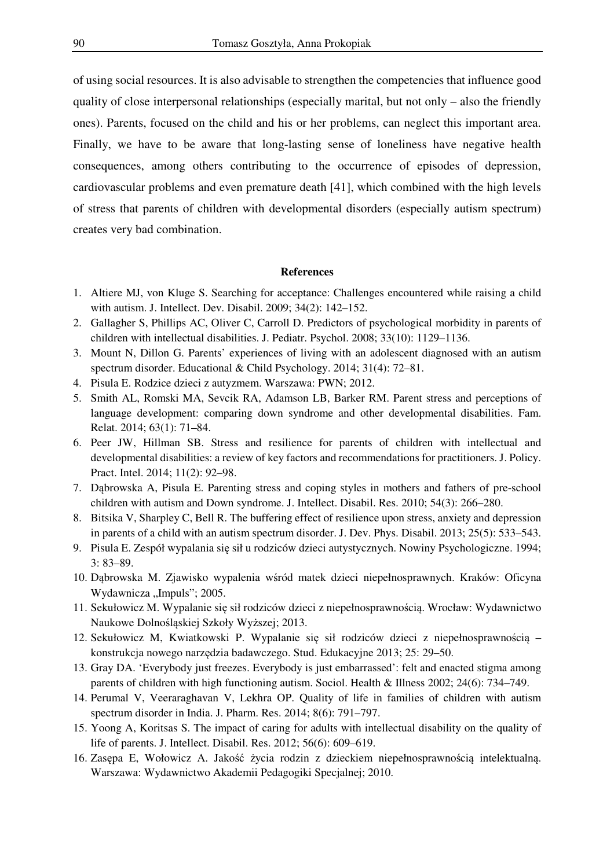of using social resources. It is also advisable to strengthen the competencies that influence good quality of close interpersonal relationships (especially marital, but not only – also the friendly ones). Parents, focused on the child and his or her problems, can neglect this important area. Finally, we have to be aware that long-lasting sense of loneliness have negative health consequences, among others contributing to the occurrence of episodes of depression, cardiovascular problems and even premature death [41], which combined with the high levels of stress that parents of children with developmental disorders (especially autism spectrum) creates very bad combination.

#### **References**

- 1. Altiere MJ, von Kluge S. Searching for acceptance: Challenges encountered while raising a child with autism. J. Intellect. Dev. Disabil. 2009; 34(2): 142–152.
- 2. Gallagher S, Phillips AC, Oliver C, Carroll D. Predictors of psychological morbidity in parents of children with intellectual disabilities. J. Pediatr. Psychol. 2008; 33(10): 1129–1136.
- 3. Mount N, Dillon G. Parents' experiences of living with an adolescent diagnosed with an autism spectrum disorder. Educational & Child Psychology. 2014; 31(4): 72–81.
- 4. Pisula E. Rodzice dzieci z autyzmem. Warszawa: PWN; 2012.
- 5. Smith AL, Romski MA, Sevcik RA, Adamson LB, Barker RM. Parent stress and perceptions of language development: comparing down syndrome and other developmental disabilities. Fam. Relat. 2014; 63(1): 71–84.
- 6. Peer JW, Hillman SB. Stress and resilience for parents of children with intellectual and developmental disabilities: a review of key factors and recommendations for practitioners. J. Policy. Pract. Intel. 2014; 11(2): 92–98.
- 7. Dąbrowska A, Pisula E. Parenting stress and coping styles in mothers and fathers of pre-school children with autism and Down syndrome. J. Intellect. Disabil. Res. 2010; 54(3): 266–280.
- 8. Bitsika V, Sharpley C, Bell R. The buffering effect of resilience upon stress, anxiety and depression in parents of a child with an autism spectrum disorder. J. Dev. Phys. Disabil. 2013; 25(5): 533–543.
- 9. Pisula E. Zespół wypalania się sił u rodziców dzieci autystycznych. Nowiny Psychologiczne. 1994; 3: 83–89.
- 10. Dąbrowska M. Zjawisko wypalenia wśród matek dzieci niepełnosprawnych. Kraków: Oficyna Wydawnicza "Impuls"; 2005.
- 11. Sekułowicz M. Wypalanie się sił rodziców dzieci z niepełnosprawnością. Wrocław: Wydawnictwo Naukowe Dolnośląskiej Szkoły Wyższej; 2013.
- 12. Sekułowicz M, Kwiatkowski P. Wypalanie się sił rodziców dzieci z niepełnosprawnością konstrukcja nowego narzędzia badawczego. Stud. Edukacyjne 2013; 25: 29–50.
- 13. Gray DA. 'Everybody just freezes. Everybody is just embarrassed': felt and enacted stigma among parents of children with high functioning autism. Sociol. Health & Illness 2002; 24(6): 734–749.
- 14. Perumal V, Veeraraghavan V, Lekhra OP. Quality of life in families of children with autism spectrum disorder in India. J. Pharm. Res. 2014; 8(6): 791–797.
- 15. Yoong A, Koritsas S. The impact of caring for adults with intellectual disability on the quality of life of parents. J. Intellect. Disabil. Res. 2012; 56(6): 609–619.
- 16. Zasępa E, Wołowicz A. Jakość życia rodzin z dzieckiem niepełnosprawnością intelektualną. Warszawa: Wydawnictwo Akademii Pedagogiki Specjalnej; 2010.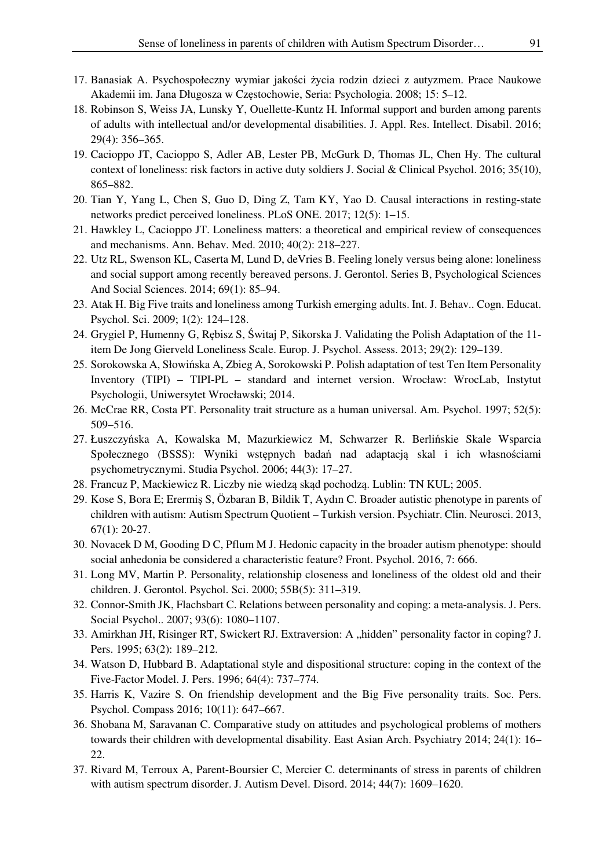- 17. Banasiak A. Psychospołeczny wymiar jakości życia rodzin dzieci z autyzmem. Prace Naukowe Akademii im. Jana Długosza w Częstochowie, Seria: Psychologia. 2008; 15: 5–12.
- 18. Robinson S, Weiss JA, Lunsky Y, Ouellette-Kuntz H. Informal support and burden among parents of adults with intellectual and/or developmental disabilities. J. Appl. Res. Intellect. Disabil. 2016; 29(4): 356–365.
- 19. Cacioppo JT, Cacioppo S, Adler AB, Lester PB, McGurk D, Thomas JL, Chen Hy. The cultural context of loneliness: risk factors in active duty soldiers J. Social & Clinical Psychol. 2016; 35(10), 865–882.
- 20. Tian Y, Yang L, Chen S, Guo D, Ding Z, Tam KY, Yao D. Causal interactions in resting-state networks predict perceived loneliness. PLoS ONE. 2017; 12(5): 1–15.
- 21. Hawkley L, Cacioppo JT. Loneliness matters: a theoretical and empirical review of consequences and mechanisms. Ann. Behav. Med. 2010; 40(2): 218–227.
- 22. Utz RL, Swenson KL, Caserta M, Lund D, deVries B. Feeling lonely versus being alone: loneliness and social support among recently bereaved persons. J. Gerontol. Series B, Psychological Sciences And Social Sciences. 2014; 69(1): 85–94.
- 23. Atak H. Big Five traits and loneliness among Turkish emerging adults. Int. J. Behav.. Cogn. Educat. Psychol. Sci. 2009; 1(2): 124–128.
- 24. Grygiel P, Humenny G, Rębisz S, Świtaj P, Sikorska J. Validating the Polish Adaptation of the 11 item De Jong Gierveld Loneliness Scale. Europ. J. Psychol. Assess. 2013; 29(2): 129–139.
- 25. Sorokowska A, Słowińska A, Zbieg A, Sorokowski P. Polish adaptation of test Ten Item Personality Inventory (TIPI) – TIPI-PL – standard and internet version. Wrocław: WrocLab, Instytut Psychologii, Uniwersytet Wrocławski; 2014.
- 26. McCrae RR, Costa PT. Personality trait structure as a human universal. Am. Psychol. 1997; 52(5): 509–516.
- 27. Łuszczyńska A, Kowalska M, Mazurkiewicz M, Schwarzer R. Berlińskie Skale Wsparcia Społecznego (BSSS): Wyniki wstępnych badań nad adaptacją skal i ich własnościami psychometrycznymi. Studia Psychol. 2006; 44(3): 17–27.
- 28. Francuz P, Mackiewicz R. Liczby nie wiedzą skąd pochodzą. Lublin: TN KUL; 2005.
- 29. Kose S, Bora E; Erermiş S, Özbaran B, Bildik T, Aydın C. Broader autistic phenotype in parents of children with autism: Autism Spectrum Quotient – Turkish version. Psychiatr. Clin. Neurosci. 2013, 67(1): 20-27.
- 30. Novacek D M, Gooding D C, Pflum M J. Hedonic capacity in the broader autism phenotype: should social anhedonia be considered a characteristic feature? Front. Psychol. 2016, 7: 666.
- 31. Long MV, Martin P. Personality, relationship closeness and loneliness of the oldest old and their children. J. Gerontol. Psychol. Sci. 2000; 55B(5): 311–319.
- 32. Connor-Smith JK, Flachsbart C. Relations between personality and coping: a meta-analysis. J. Pers. Social Psychol.. 2007; 93(6): 1080–1107.
- 33. Amirkhan JH, Risinger RT, Swickert RJ. Extraversion: A "hidden" personality factor in coping? J. Pers. 1995; 63(2): 189–212.
- 34. Watson D, Hubbard B. Adaptational style and dispositional structure: coping in the context of the Five-Factor Model. J. Pers. 1996; 64(4): 737–774.
- 35. Harris K, Vazire S. On friendship development and the Big Five personality traits. Soc. Pers. Psychol. Compass 2016; 10(11): 647–667.
- 36. Shobana M, Saravanan C. Comparative study on attitudes and psychological problems of mothers towards their children with developmental disability. East Asian Arch. Psychiatry 2014; 24(1): 16– 22.
- 37. Rivard M, Terroux A, Parent-Boursier C, Mercier C. determinants of stress in parents of children with autism spectrum disorder. J. Autism Devel. Disord. 2014; 44(7): 1609–1620.